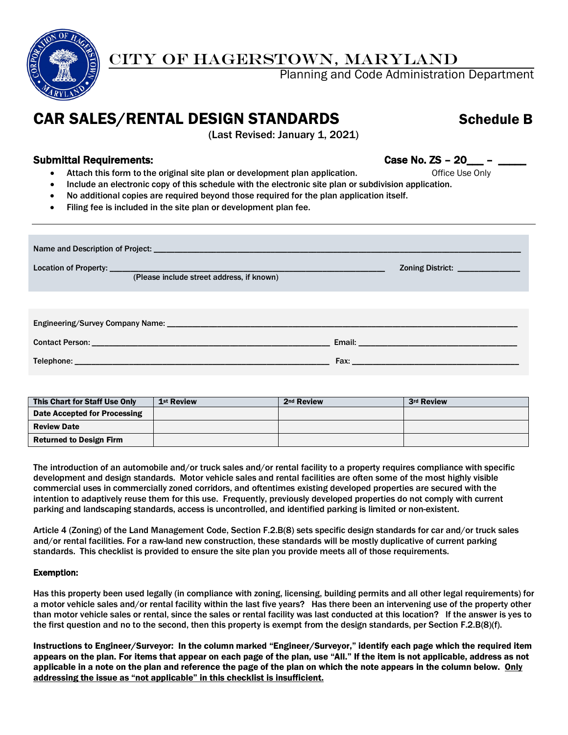

# CITY OF HAGERSTOWN, MARYLAND

Planning and Code Administration Department

# CAR SALES/RENTAL DESIGN STANDARDS Schedule B

(Last Revised: January 1, 2021)

## Submittal Requirements: Case No. ZS – 20\_\_\_ – Case No. ZS – 20\_\_\_

- Attach this form to the original site plan or development plan application. Office Use Only
- Include an electronic copy of this schedule with the electronic site plan or subdivision application.
- No additional copies are required beyond those required for the plan application itself.
- Filing fee is included in the site plan or development plan fee.

| (Please include street address, if known) | Zoning District: _______________                                                                                                                                                                                               |  |  |  |  |  |  |  |
|-------------------------------------------|--------------------------------------------------------------------------------------------------------------------------------------------------------------------------------------------------------------------------------|--|--|--|--|--|--|--|
|                                           |                                                                                                                                                                                                                                |  |  |  |  |  |  |  |
|                                           |                                                                                                                                                                                                                                |  |  |  |  |  |  |  |
|                                           |                                                                                                                                                                                                                                |  |  |  |  |  |  |  |
|                                           | Fax: The contract of the contract of the contract of the contract of the contract of the contract of the contract of the contract of the contract of the contract of the contract of the contract of the contract of the contr |  |  |  |  |  |  |  |

| This Chart for Staff Use Only  | 1 <sup>st</sup> Review | 2 <sup>nd</sup> Review | 3rd Review |
|--------------------------------|------------------------|------------------------|------------|
| Date Accepted for Processing   |                        |                        |            |
| <b>Review Date</b>             |                        |                        |            |
| <b>Returned to Design Firm</b> |                        |                        |            |

The introduction of an automobile and/or truck sales and/or rental facility to a property requires compliance with specific development and design standards. Motor vehicle sales and rental facilities are often some of the most highly visible commercial uses in commercially zoned corridors, and oftentimes existing developed properties are secured with the intention to adaptively reuse them for this use. Frequently, previously developed properties do not comply with current parking and landscaping standards, access is uncontrolled, and identified parking is limited or non-existent.

Article 4 (Zoning) of the Land Management Code, Section F.2.B(8) sets specific design standards for car and/or truck sales and/or rental facilities. For a raw-land new construction, these standards will be mostly duplicative of current parking standards. This checklist is provided to ensure the site plan you provide meets all of those requirements.

## Exemption:

Has this property been used legally (in compliance with zoning, licensing, building permits and all other legal requirements) for a motor vehicle sales and/or rental facility within the last five years? Has there been an intervening use of the property other than motor vehicle sales or rental, since the sales or rental facility was last conducted at this location? If the answer is yes to the first question and no to the second, then this property is exempt from the design standards, per Section F.2.B(8)(f).

Instructions to Engineer/Surveyor: In the column marked "Engineer/Surveyor," identify each page which the required item appears on the plan. For items that appear on each page of the plan, use "All." If the item is not applicable, address as not applicable in a note on the plan and reference the page of the plan on which the note appears in the column below. Only addressing the issue as "not applicable" in this checklist is insufficient.